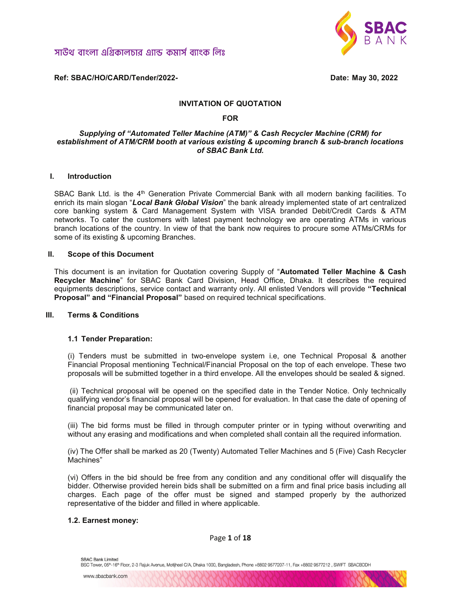

Ref: SBAC/HO/CARD/Tender/2022- Date: May 30, 2022

#### INVITATION OF QUOTATION

#### FOR

#### Supplying of "Automated Teller Machine (ATM)" & Cash Recycler Machine (CRM) for establishment of ATM/CRM booth at various existing & upcoming branch & sub-branch locations of SBAC Bank Ltd.

#### I. Introduction

SBAC Bank Ltd. is the 4<sup>th</sup> Generation Private Commercial Bank with all modern banking facilities. To enrich its main slogan "Local Bank Global Vision" the bank already implemented state of art centralized core banking system & Card Management System with VISA branded Debit/Credit Cards & ATM networks. To cater the customers with latest payment technology we are operating ATMs in various branch locations of the country. In view of that the bank now requires to procure some ATMs/CRMs for some of its existing & upcoming Branches.

#### II. Scope of this Document

This document is an invitation for Quotation covering Supply of "Automated Teller Machine & Cash Recycler Machine" for SBAC Bank Card Division, Head Office, Dhaka. It describes the required equipments descriptions, service contact and warranty only. All enlisted Vendors will provide "Technical Proposal" and "Financial Proposal" based on required technical specifications.

### III. Terms & Conditions

#### 1.1 Tender Preparation:

(i) Tenders must be submitted in two-envelope system i.e, one Technical Proposal & another Financial Proposal mentioning Technical/Financial Proposal on the top of each envelope. These two proposals will be submitted together in a third envelope. All the envelopes should be sealed & signed.

 (ii) Technical proposal will be opened on the specified date in the Tender Notice. Only technically qualifying vendor's financial proposal will be opened for evaluation. In that case the date of opening of financial proposal may be communicated later on.

(iii) The bid forms must be filled in through computer printer or in typing without overwriting and without any erasing and modifications and when completed shall contain all the required information.

(iv) The Offer shall be marked as 20 (Twenty) Automated Teller Machines and 5 (Five) Cash Recycler Machines"

(vi) Offers in the bid should be free from any condition and any conditional offer will disqualify the bidder. Otherwise provided herein bids shall be submitted on a firm and final price basis including all charges. Each page of the offer must be signed and stamped properly by the authorized representative of the bidder and filled in where applicable.

#### 1.2. Earnest money:

Page 1 of 18

BSC Tower, 05<sup>n</sup>-16<sup>n</sup> Floor, 2-3 Rajuk Avenue, Motijheel C/A, Dhaka 1000, Bangladesh, Phone +8802 9577207-11, Fax +8802 9577212, SWIFT SBACBDDH

SBAC Bank Limited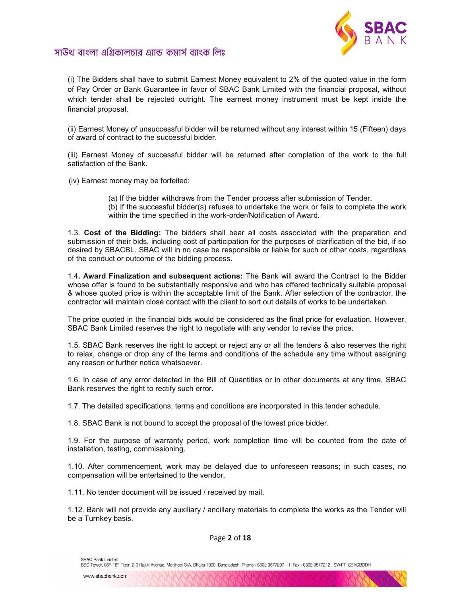

(i) The Bidders shall have to submit Earnest Money equivalent to 2% of the quoted value in the form of Pay Order or Bank Guarantee in favor of SBAC Bank Limited with the financial proposal, without which tender shall be rejected outright. The earnest money instrument must be kept inside the financial proposal.

(ii) Earnest Money of unsuccessful bidder will be returned without any interest within 15 (Fifteen) days of award of contract to the successful bidder.

(iii) Earnest Money of successful bidder will be returned after completion of the work to the full satisfaction of the Bank.

(iv) Earnest money may be forfeited:

(a) If the bidder withdraws from the Tender process after submission of Tender.

(b) If the successful bidder(s) refuses to undertake the work or fails to complete the work within the time specified in the work-order/Notification of Award.

1.3. Cost of the Bidding: The bidders shall bear all costs associated with the preparation and submission of their bids, including cost of participation for the purposes of clarification of the bid, if so desired by SBACBL. SBAC will in no case be responsible or liable for such or other costs, regardless of the conduct or outcome of the bidding process.

1.4. **Award Finalization and subsequent actions:** The Bank will award the Contract to the Bidder whose offer is found to be substantially responsive and who has offered technically suitable proposal & whose quoted price is within the acceptable limit of the Bank. After selection of the contractor, the contractor will maintain close contact with the client to sort out details of works to be undertaken.

The price quoted in the financial bids would be considered as the final price for evaluation. However, SBAC Bank Limited reserves the right to negotiate with any vendor to revise the price.

1.5. SBAC Bank reserves the right to accept or reject any or all the tenders & also reserves the right to relax, change or drop any of the terms and conditions of the schedule any time without assigning any reason or further notice whatsoever.

1.6. In case of any error detected in the Bill of Quantities or in other documents at any time, SBAC Bank reserves the right to rectify such error.

1.7. The detailed specifications, terms and conditions are incorporated in this tender schedule.

1.8. SBAC Bank is not bound to accept the proposal of the lowest price bidder.

1.9. For the purpose of warranty period, work completion time will be counted from the date of installation, testing, commissioning.

1.10. After commencement, work may be delayed due to unforeseen reasons; in such cases, no compensation will be entertained to the vendor.

1.11. No tender document will be issued / received by mail.

1.12. Bank will not provide any auxiliary / ancillary materials to complete the works as the Tender will be a Turnkey basis.

Page 2 of 18

SBAC Bank Limited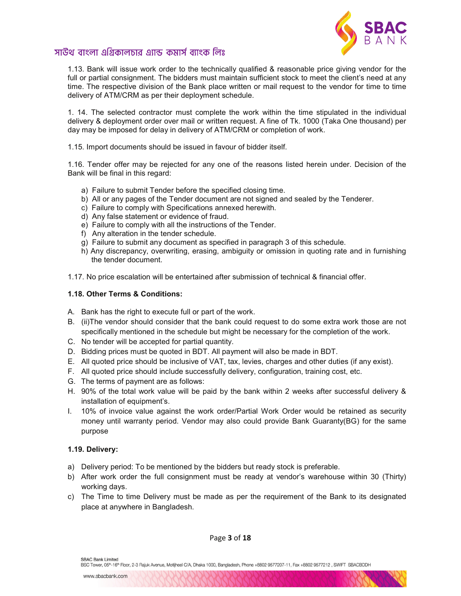

1.13. Bank will issue work order to the technically qualified & reasonable price giving vendor for the full or partial consignment. The bidders must maintain sufficient stock to meet the client's need at any time. The respective division of the Bank place written or mail request to the vendor for time to time delivery of ATM/CRM as per their deployment schedule.

1. 14. The selected contractor must complete the work within the time stipulated in the individual delivery & deployment order over mail or written request. A fine of Tk. 1000 (Taka One thousand) per day may be imposed for delay in delivery of ATM/CRM or completion of work.

1.15. Import documents should be issued in favour of bidder itself.

1.16. Tender offer may be rejected for any one of the reasons listed herein under. Decision of the Bank will be final in this regard:

- a) Failure to submit Tender before the specified closing time.
- b) All or any pages of the Tender document are not signed and sealed by the Tenderer.
- c) Failure to comply with Specifications annexed herewith.
- d) Any false statement or evidence of fraud.
- e) Failure to comply with all the instructions of the Tender.
- f) Any alteration in the tender schedule.
- g) Failure to submit any document as specified in paragraph 3 of this schedule.
- h) Any discrepancy, overwriting, erasing, ambiguity or omission in quoting rate and in furnishing the tender document.
- 1.17. No price escalation will be entertained after submission of technical & financial offer.

#### 1.18. Other Terms & Conditions:

- A. Bank has the right to execute full or part of the work.
- B. (ii)The vendor should consider that the bank could request to do some extra work those are not specifically mentioned in the schedule but might be necessary for the completion of the work.
- C. No tender will be accepted for partial quantity.
- D. Bidding prices must be quoted in BDT. All payment will also be made in BDT.
- E. All quoted price should be inclusive of VAT, tax, levies, charges and other duties (if any exist).
- F. All quoted price should include successfully delivery, configuration, training cost, etc.
- G. The terms of payment are as follows:
- H. 90% of the total work value will be paid by the bank within 2 weeks after successful delivery & installation of equipment's.
- I. 10% of invoice value against the work order/Partial Work Order would be retained as security money until warranty period. Vendor may also could provide Bank Guaranty(BG) for the same purpose

### 1.19. Delivery:

- a) Delivery period: To be mentioned by the bidders but ready stock is preferable.
- b) After work order the full consignment must be ready at vendor's warehouse within 30 (Thirty) working days.
- c) The Time to time Delivery must be made as per the requirement of the Bank to its designated place at anywhere in Bangladesh.

Page 3 of 18

SBAC Bank Limited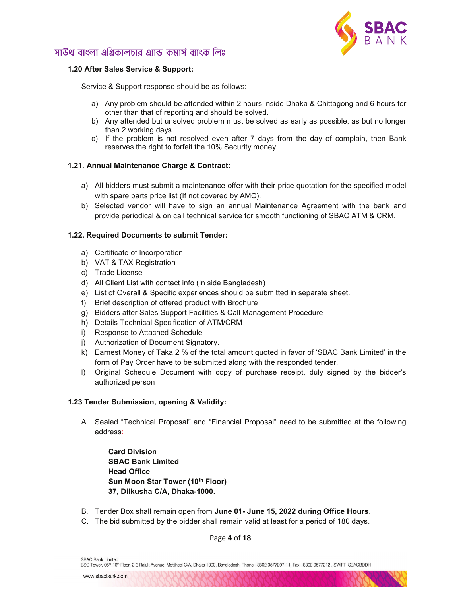

### 1.20 After Sales Service & Support:

Service & Support response should be as follows:

- a) Any problem should be attended within 2 hours inside Dhaka & Chittagong and 6 hours for other than that of reporting and should be solved.
- b) Any attended but unsolved problem must be solved as early as possible, as but no longer than 2 working days.
- c) If the problem is not resolved even after 7 days from the day of complain, then Bank reserves the right to forfeit the 10% Security money.

### 1.21. Annual Maintenance Charge & Contract:

- a) All bidders must submit a maintenance offer with their price quotation for the specified model with spare parts price list (If not covered by AMC).
- b) Selected vendor will have to sign an annual Maintenance Agreement with the bank and provide periodical & on call technical service for smooth functioning of SBAC ATM & CRM.

#### 1.22. Required Documents to submit Tender:

- a) Certificate of Incorporation
- b) VAT & TAX Registration
- c) Trade License
- d) All Client List with contact info (In side Bangladesh)
- e) List of Overall & Specific experiences should be submitted in separate sheet.
- f) Brief description of offered product with Brochure
- g) Bidders after Sales Support Facilities & Call Management Procedure
- h) Details Technical Specification of ATM/CRM
- i) Response to Attached Schedule
- j) Authorization of Document Signatory.
- k) Earnest Money of Taka 2 % of the total amount quoted in favor of 'SBAC Bank Limited' in the form of Pay Order have to be submitted along with the responded tender.
- l) Original Schedule Document with copy of purchase receipt, duly signed by the bidder's authorized person

#### 1.23 Tender Submission, opening & Validity:

A. Sealed "Technical Proposal" and "Financial Proposal" need to be submitted at the following address:

Card Division SBAC Bank Limited Head Office Sun Moon Star Tower (10th Floor) 37, Dilkusha C/A, Dhaka-1000.

- B. Tender Box shall remain open from June 01- June 15, 2022 during Office Hours.
- C. The bid submitted by the bidder shall remain valid at least for a period of 180 days.

Page 4 of 18

BSC Tower, 05<sup>n</sup>-16<sup>n</sup> Floor, 2-3 Rajuk Avenue, Motijheel C/A, Dhaka 1000, Bangladesh, Phone +8802 9577207-11, Fax +8802 9577212, SWIFT SBACBDDH

SBAC Bank Limited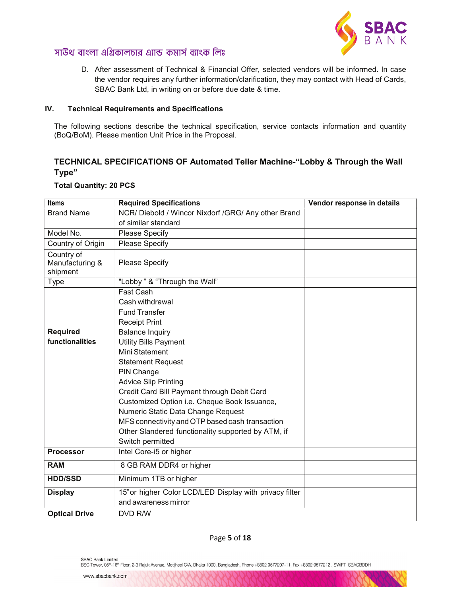

D. After assessment of Technical & Financial Offer, selected vendors will be informed. In case the vendor requires any further information/clarification, they may contact with Head of Cards, SBAC Bank Ltd, in writing on or before due date & time.

### IV. Technical Requirements and Specifications

The following sections describe the technical specification, service contacts information and quantity (BoQ/BoM). Please mention Unit Price in the Proposal.

### TECHNICAL SPECIFICATIONS OF Automated Teller Machine-"Lobby & Through the Wall Type"

# Total Quantity: 20 PCS

| <b>Items</b>                              | <b>Required Specifications</b>                          | Vendor response in details |
|-------------------------------------------|---------------------------------------------------------|----------------------------|
| <b>Brand Name</b>                         | NCR/Diebold / Wincor Nixdorf /GRG/ Any other Brand      |                            |
|                                           | of similar standard                                     |                            |
| Model No.                                 | Please Specify                                          |                            |
| Country of Origin                         | <b>Please Specify</b>                                   |                            |
| Country of<br>Manufacturing &<br>shipment | Please Specify                                          |                            |
| Type                                      | "Lobby " & "Through the Wall"                           |                            |
|                                           | Fast Cash                                               |                            |
|                                           | Cash withdrawal                                         |                            |
|                                           | <b>Fund Transfer</b>                                    |                            |
|                                           | <b>Receipt Print</b>                                    |                            |
| <b>Required</b>                           | <b>Balance Inquiry</b>                                  |                            |
| functionalities                           | <b>Utility Bills Payment</b>                            |                            |
|                                           | Mini Statement                                          |                            |
|                                           | <b>Statement Request</b>                                |                            |
|                                           | PIN Change                                              |                            |
|                                           | <b>Advice Slip Printing</b>                             |                            |
|                                           | Credit Card Bill Payment through Debit Card             |                            |
|                                           | Customized Option i.e. Cheque Book Issuance,            |                            |
|                                           | Numeric Static Data Change Request                      |                            |
|                                           | MFS connectivity and OTP based cash transaction         |                            |
|                                           | Other Slandered functionality supported by ATM, if      |                            |
|                                           | Switch permitted                                        |                            |
| <b>Processor</b>                          | Intel Core-i5 or higher                                 |                            |
| <b>RAM</b>                                | 8 GB RAM DDR4 or higher                                 |                            |
| <b>HDD/SSD</b>                            | Minimum 1TB or higher                                   |                            |
| <b>Display</b>                            | 15" or higher Color LCD/LED Display with privacy filter |                            |
|                                           | and awareness mirror                                    |                            |
| <b>Optical Drive</b>                      | DVD R/W                                                 |                            |

### Page 5 of 18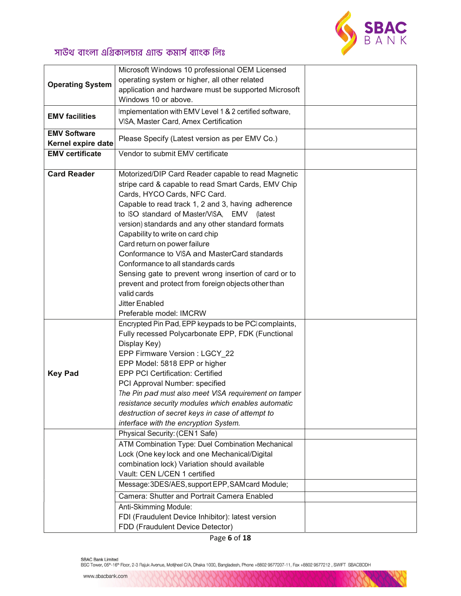

|                         | Microsoft Windows 10 professional OEM Licensed          |  |
|-------------------------|---------------------------------------------------------|--|
|                         | operating system or higher, all other related           |  |
| <b>Operating System</b> | application and hardware must be supported Microsoft    |  |
|                         | Windows 10 or above.                                    |  |
|                         |                                                         |  |
| <b>EMV facilities</b>   | Implementation with EMV Level 1 & 2 certified software, |  |
|                         | VISA, Master Card, Amex Certification                   |  |
| <b>EMV Software</b>     | Please Specify (Latest version as per EMV Co.)          |  |
| Kernel expire date      |                                                         |  |
| <b>EMV</b> certificate  | Vendor to submit EMV certificate                        |  |
|                         |                                                         |  |
| <b>Card Reader</b>      | Motorized/DIP Card Reader capable to read Magnetic      |  |
|                         | stripe card & capable to read Smart Cards, EMV Chip     |  |
|                         | Cards, HYCO Cards, NFC Card.                            |  |
|                         | Capable to read track 1, 2 and 3, having adherence      |  |
|                         | to ISO standard of Master/VISA, EMV (latest             |  |
|                         | version) standards and any other standard formats       |  |
|                         | Capability to write on card chip                        |  |
|                         | Card return on power failure                            |  |
|                         | Conformance to VISA and MasterCard standards            |  |
|                         |                                                         |  |
|                         | Conformance to all standards cards                      |  |
|                         | Sensing gate to prevent wrong insertion of card or to   |  |
|                         | prevent and protect from foreign objects other than     |  |
|                         | valid cards                                             |  |
|                         | <b>Jitter Enabled</b>                                   |  |
|                         | Preferable model: IMCRW                                 |  |
|                         | Encrypted Pin Pad, EPP keypads to be PCI complaints,    |  |
|                         | Fully recessed Polycarbonate EPP, FDK (Functional       |  |
|                         | Display Key)                                            |  |
|                         | EPP Firmware Version : LGCY 22                          |  |
|                         | EPP Model: 5818 EPP or higher                           |  |
| <b>Key Pad</b>          | <b>EPP PCI Certification: Certified</b>                 |  |
|                         | PCI Approval Number: specified                          |  |
|                         | The Pin pad must also meet VISA requirement on tamper   |  |
|                         | resistance security modules which enables automatic     |  |
|                         | destruction of secret keys in case of attempt to        |  |
|                         | interface with the encryption System.                   |  |
|                         | Physical Security: (CEN1 Safe)                          |  |
|                         | ATM Combination Type: Duel Combination Mechanical       |  |
|                         | Lock (One key lock and one Mechanical/Digital           |  |
|                         | combination lock) Variation should available            |  |
|                         | Vault: CEN L/CEN 1 certified                            |  |
|                         |                                                         |  |
|                         | Message: 3DES/AES, support EPP, SAM card Module;        |  |
|                         | Camera: Shutter and Portrait Camera Enabled             |  |
|                         | Anti-Skimming Module:                                   |  |
|                         | FDI (Fraudulent Device Inhibitor): latest version       |  |
|                         | FDD (Fraudulent Device Detector)                        |  |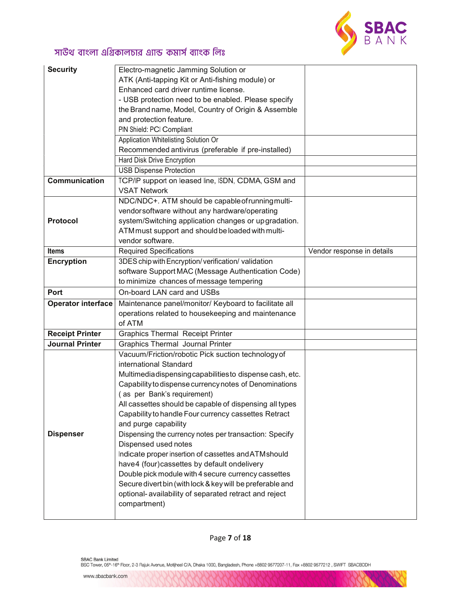

| <b>Security</b>           | Electro-magnetic Jamming Solution or                      |                            |
|---------------------------|-----------------------------------------------------------|----------------------------|
|                           | ATK (Anti-tapping Kit or Anti-fishing module) or          |                            |
|                           | Enhanced card driver runtime license.                     |                            |
|                           | - USB protection need to be enabled. Please specify       |                            |
|                           | the Brand name, Model, Country of Origin & Assemble       |                            |
|                           | and protection feature.                                   |                            |
|                           | PIN Shield: PCI Compliant                                 |                            |
|                           | Application Whitelisting Solution Or                      |                            |
|                           | Recommended antivirus (preferable if pre-installed)       |                            |
|                           | Hard Disk Drive Encryption                                |                            |
|                           | <b>USB Dispense Protection</b>                            |                            |
| <b>Communication</b>      | TCP/IP support on leased line, ISDN, CDMA, GSM and        |                            |
|                           | <b>VSAT Network</b>                                       |                            |
|                           | NDC/NDC+. ATM should be capable of running multi-         |                            |
|                           | vendorsoftware without any hardware/operating             |                            |
| <b>Protocol</b>           | system/Switching application changes or upgradation.      |                            |
|                           | ATM must support and should be loaded with multi-         |                            |
|                           | vendor software.                                          |                            |
| <b>Items</b>              | <b>Required Specifications</b>                            | Vendor response in details |
| <b>Encryption</b>         | 3DES chip with Encryption/verification/validation         |                            |
|                           | software Support MAC (Message Authentication Code)        |                            |
|                           | to minimize chances of message tempering                  |                            |
| Port                      | On-board LAN card and USBs                                |                            |
| <b>Operator interface</b> | Maintenance panel/monitor/ Keyboard to facilitate all     |                            |
|                           | operations related to housekeeping and maintenance        |                            |
|                           | of ATM                                                    |                            |
| <b>Receipt Printer</b>    | <b>Graphics Thermal Receipt Printer</b>                   |                            |
| <b>Journal Printer</b>    | <b>Graphics Thermal Journal Printer</b>                   |                            |
|                           | Vacuum/Friction/robotic Pick suction technology of        |                            |
|                           | international Standard                                    |                            |
|                           | Multimediadispensing capabilities to dispense cash, etc.  |                            |
|                           | Capability to dispense currency notes of Denominations    |                            |
|                           | as per Bank's requirement)                                |                            |
|                           | All cassettes should be capable of dispensing all types   |                            |
|                           | Capability to handle Four currency cassettes Retract      |                            |
|                           | and purge capability                                      |                            |
| <b>Dispenser</b>          | Dispensing the currency notes per transaction: Specify    |                            |
|                           | Dispensed used notes                                      |                            |
|                           | Indicate proper insertion of cassettes and ATM should     |                            |
|                           | have4 (four)cassettes by default ondelivery               |                            |
|                           | Double pick module with 4 secure currency cassettes       |                            |
|                           | Secure divert bin (with lock & key will be preferable and |                            |
|                           | optional- availability of separated retract and reject    |                            |
|                           | compartment)                                              |                            |
|                           |                                                           |                            |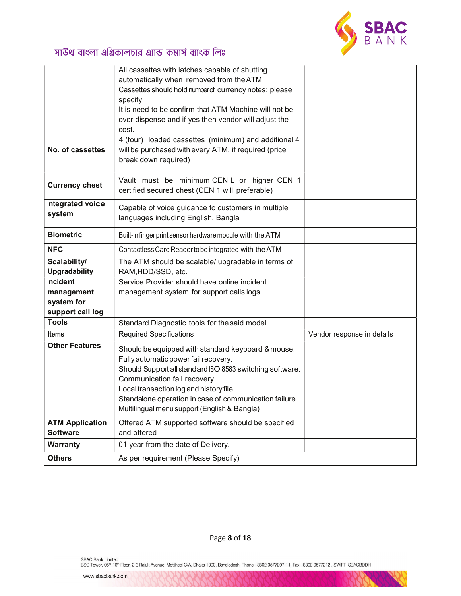

|                        | All cassettes with latches capable of shutting                   |                            |
|------------------------|------------------------------------------------------------------|----------------------------|
|                        | automatically when removed from the ATM                          |                            |
|                        | Cassettes should hold number of currency notes: please           |                            |
|                        | specify<br>It is need to be confirm that ATM Machine will not be |                            |
|                        | over dispense and if yes then vendor will adjust the             |                            |
|                        | cost.                                                            |                            |
|                        | 4 (four) loaded cassettes (minimum) and additional 4             |                            |
| No. of cassettes       | will be purchased with every ATM, if required (price             |                            |
|                        | break down required)                                             |                            |
| <b>Currency chest</b>  | Vault must be minimum CEN L or higher CEN 1                      |                            |
|                        | certified secured chest (CEN 1 will preferable)                  |                            |
| Integrated voice       | Capable of voice guidance to customers in multiple               |                            |
| system                 | languages including English, Bangla                              |                            |
| <b>Biometric</b>       | Built-in finger print sensor hardware module with the ATM        |                            |
| <b>NFC</b>             | Contactless Card Reader to be integrated with the ATM            |                            |
| Scalability/           | The ATM should be scalable/ upgradable in terms of               |                            |
| <b>Upgradability</b>   | RAM, HDD/SSD, etc.                                               |                            |
| Incident               | Service Provider should have online incident                     |                            |
| management             | management system for support calls logs                         |                            |
| system for             |                                                                  |                            |
| support call log       |                                                                  |                            |
| <b>Tools</b>           | Standard Diagnostic tools for the said model                     |                            |
| <b>Items</b>           | <b>Required Specifications</b>                                   | Vendor response in details |
| <b>Other Features</b>  | Should be equipped with standard keyboard & mouse.               |                            |
|                        | Fully automatic power fail recovery.                             |                            |
|                        | Should Support all standard ISO 8583 switching software.         |                            |
|                        | Communication fail recovery                                      |                            |
|                        | Local transaction log and history file                           |                            |
|                        | Standalone operation in case of communication failure.           |                            |
|                        | Multilingual menu support (English & Bangla)                     |                            |
| <b>ATM Application</b> | Offered ATM supported software should be specified               |                            |
| <b>Software</b>        | and offered                                                      |                            |
| <b>Warranty</b>        | 01 year from the date of Delivery.                               |                            |
| <b>Others</b>          | As per requirement (Please Specify)                              |                            |

Page 8 of 18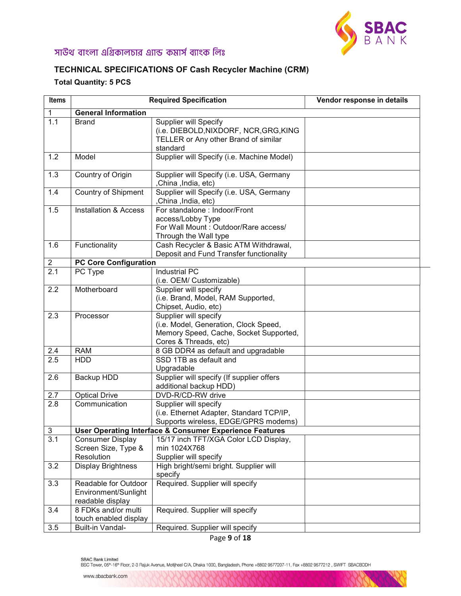

### TECHNICAL SPECIFICATIONS OF Cash Recycler Machine (CRM)

### Total Quantity: 5 PCS

| <b>Items</b>     | <b>Required Specification</b>                                    |                                                                                                                                   | Vendor response in details |
|------------------|------------------------------------------------------------------|-----------------------------------------------------------------------------------------------------------------------------------|----------------------------|
|                  | <b>General Information</b>                                       |                                                                                                                                   |                            |
| 1.1              | <b>Brand</b>                                                     | <b>Supplier will Specify</b><br>(i.e. DIEBOLD, NIXDORF, NCR, GRG, KING<br>TELLER or Any other Brand of similar<br>standard        |                            |
| 1.2              | Model                                                            | Supplier will Specify (i.e. Machine Model)                                                                                        |                            |
| 1.3              | Country of Origin                                                | Supplier will Specify (i.e. USA, Germany<br>,China ,India, etc)                                                                   |                            |
| 1.4              | Country of Shipment                                              | Supplier will Specify (i.e. USA, Germany<br>,China ,India, etc)                                                                   |                            |
| 1.5              | <b>Installation &amp; Access</b>                                 | For standalone : Indoor/Front<br>access/Lobby Type<br>For Wall Mount: Outdoor/Rare access/<br>Through the Wall type               |                            |
| 1.6              | Functionality                                                    | Cash Recycler & Basic ATM Withdrawal,<br>Deposit and Fund Transfer functionality                                                  |                            |
| $\overline{2}$   | <b>PC Core Configuration</b>                                     |                                                                                                                                   |                            |
| $\overline{2.1}$ | PC Type                                                          | <b>Industrial PC</b><br>(i.e. OEM/ Customizable)                                                                                  |                            |
| 2.2              | Motherboard                                                      | Supplier will specify<br>(i.e. Brand, Model, RAM Supported,<br>Chipset, Audio, etc)                                               |                            |
| 2.3              | Processor                                                        | Supplier will specify<br>(i.e. Model, Generation, Clock Speed,<br>Memory Speed, Cache, Socket Supported,<br>Cores & Threads, etc) |                            |
| 2.4              | <b>RAM</b>                                                       | 8 GB DDR4 as default and upgradable                                                                                               |                            |
| 2.5              | <b>HDD</b>                                                       | SSD 1TB as default and<br>Upgradable                                                                                              |                            |
| 2.6              | Backup HDD                                                       | Supplier will specify (If supplier offers<br>additional backup HDD)                                                               |                            |
| 2.7              | <b>Optical Drive</b>                                             | DVD-R/CD-RW drive                                                                                                                 |                            |
| 2.8              | Communication                                                    | Supplier will specify<br>(i.e. Ethernet Adapter, Standard TCP/IP,<br>Supports wireless, EDGE/GPRS modems)                         |                            |
| 3                |                                                                  | <b>User Operating Interface &amp; Consumer Experience Features</b>                                                                |                            |
| 3.1              | <b>Consumer Display</b><br>Screen Size, Type &<br>Resolution     | 15/17 inch TFT/XGA Color LCD Display,<br>min 1024X768<br>Supplier will specify                                                    |                            |
| 3.2              | <b>Display Brightness</b>                                        | High bright/semi bright. Supplier will<br>specify                                                                                 |                            |
| 3.3              | Readable for Outdoor<br>Environment/Sunlight<br>readable display | Required. Supplier will specify                                                                                                   |                            |
| 3.4              | 8 FDKs and/or multi<br>touch enabled display                     | Required. Supplier will specify                                                                                                   |                            |
| 3.5              | Built-in Vandal-                                                 | Required. Supplier will specify                                                                                                   |                            |

Page 9 of 18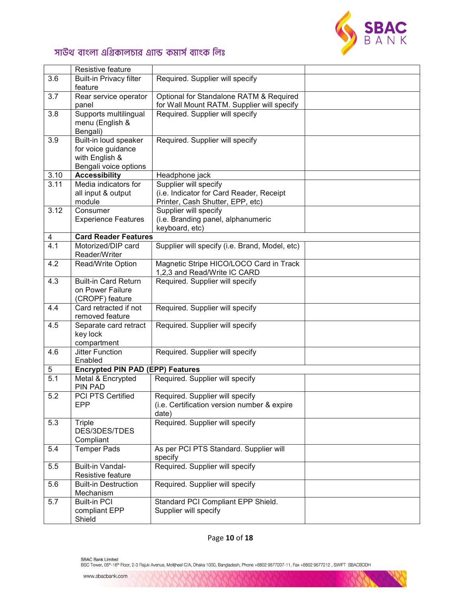

|                  | Resistive feature                                                                      |                                                                                                       |  |
|------------------|----------------------------------------------------------------------------------------|-------------------------------------------------------------------------------------------------------|--|
| 3.6              | <b>Built-in Privacy filter</b><br>feature                                              | Required. Supplier will specify                                                                       |  |
| 3.7              | Rear service operator<br>panel                                                         | Optional for Standalone RATM & Required<br>for Wall Mount RATM. Supplier will specify                 |  |
| 3.8              | Supports multilingual<br>menu (English &<br>Bengali)                                   | Required. Supplier will specify                                                                       |  |
| 3.9              | Built-in loud speaker<br>for voice guidance<br>with English &<br>Bengali voice options | Required. Supplier will specify                                                                       |  |
| 3.10             | <b>Accessibility</b>                                                                   | Headphone jack                                                                                        |  |
| 3.11             | Media indicators for<br>all input & output<br>module                                   | Supplier will specify<br>(i.e. Indicator for Card Reader, Receipt<br>Printer, Cash Shutter, EPP, etc) |  |
| 3.12             | Consumer<br><b>Experience Features</b>                                                 | Supplier will specify<br>(i.e. Branding panel, alphanumeric<br>keyboard, etc)                         |  |
| 4                | <b>Card Reader Features</b>                                                            |                                                                                                       |  |
| 4.1              | Motorized/DIP card<br>Reader/Writer                                                    | Supplier will specify (i.e. Brand, Model, etc)                                                        |  |
| 4.2              | Read/Write Option                                                                      | Magnetic Stripe HICO/LOCO Card in Track<br>1,2,3 and Read/Write IC CARD                               |  |
| 4.3              | <b>Built-in Card Return</b><br>on Power Failure<br>(CROPF) feature                     | Required. Supplier will specify                                                                       |  |
| 4.4              | Card retracted if not<br>removed feature                                               | Required. Supplier will specify                                                                       |  |
| 4.5              | Separate card retract<br>key lock<br>compartment                                       | Required. Supplier will specify                                                                       |  |
| 4.6              | <b>Jitter Function</b><br>Enabled                                                      | Required. Supplier will specify                                                                       |  |
| 5                | <b>Encrypted PIN PAD (EPP) Features</b>                                                |                                                                                                       |  |
| $\overline{5.1}$ | Metal & Encrypted<br><b>PIN PAD</b>                                                    | Required. Supplier will specify                                                                       |  |
| 5.2              | <b>PCI PTS Certified</b><br>EPP                                                        | Required. Supplier will specify<br>(i.e. Certification version number & expire<br>date)               |  |
| 5.3              | Triple<br>DES/3DES/TDES<br>Compliant                                                   | Required. Supplier will specify                                                                       |  |
| 5.4              | <b>Temper Pads</b>                                                                     | As per PCI PTS Standard. Supplier will<br>specify                                                     |  |
| 5.5              | Built-in Vandal-<br>Resistive feature                                                  | Required. Supplier will specify                                                                       |  |
| 5.6              | <b>Built-in Destruction</b><br>Mechanism                                               | Required. Supplier will specify                                                                       |  |
| 5.7              | <b>Built-in PCI</b><br>compliant EPP<br>Shield                                         | Standard PCI Compliant EPP Shield.<br>Supplier will specify                                           |  |

### Page 10 of 18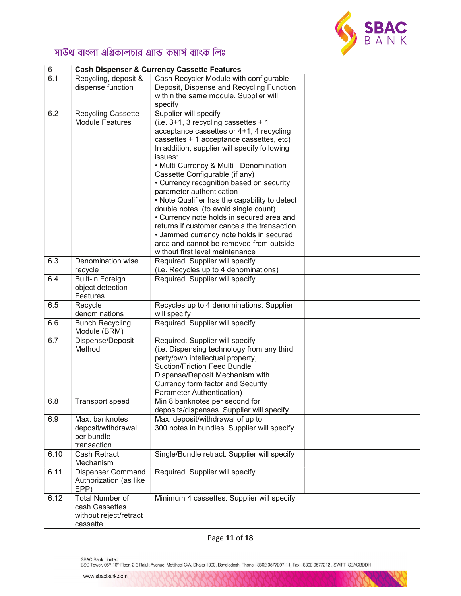

| $\,6$ |                                | <b>Cash Dispenser &amp; Currency Cassette Features</b>                             |  |
|-------|--------------------------------|------------------------------------------------------------------------------------|--|
| 6.1   | Recycling, deposit &           | Cash Recycler Module with configurable                                             |  |
|       | dispense function              | Deposit, Dispense and Recycling Function<br>within the same module. Supplier will  |  |
|       |                                | specify                                                                            |  |
| 6.2   | <b>Recycling Cassette</b>      | Supplier will specify                                                              |  |
|       | <b>Module Features</b>         | (i.e. 3+1, 3 recycling cassettes + 1                                               |  |
|       |                                | acceptance cassettes or 4+1, 4 recycling                                           |  |
|       |                                | cassettes + 1 acceptance cassettes, etc)                                           |  |
|       |                                | In addition, supplier will specify following                                       |  |
|       |                                | issues:                                                                            |  |
|       |                                | • Multi-Currency & Multi- Denomination<br>Cassette Configurable (if any)           |  |
|       |                                | • Currency recognition based on security                                           |  |
|       |                                | parameter authentication                                                           |  |
|       |                                | • Note Qualifier has the capability to detect                                      |  |
|       |                                | double notes (to avoid single count)                                               |  |
|       |                                | • Currency note holds in secured area and                                          |  |
|       |                                | returns if customer cancels the transaction                                        |  |
|       |                                | • Jammed currency note holds in secured<br>area and cannot be removed from outside |  |
|       |                                | without first level maintenance                                                    |  |
| 6.3   | Denomination wise              | Required. Supplier will specify                                                    |  |
|       | recycle                        | (i.e. Recycles up to 4 denominations)                                              |  |
| 6.4   | <b>Built-in Foreign</b>        | Required. Supplier will specify                                                    |  |
|       | object detection               |                                                                                    |  |
|       | Features                       |                                                                                    |  |
| 6.5   | Recycle<br>denominations       | Recycles up to 4 denominations. Supplier<br>will specify                           |  |
| 6.6   | <b>Bunch Recycling</b>         | Required. Supplier will specify                                                    |  |
|       | Module (BRM)                   |                                                                                    |  |
| 6.7   | Dispense/Deposit               | Required. Supplier will specify                                                    |  |
|       | Method                         | (i.e. Dispensing technology from any third<br>party/own intellectual property,     |  |
|       |                                | <b>Suction/Friction Feed Bundle</b>                                                |  |
|       |                                | Dispense/Deposit Mechanism with                                                    |  |
|       |                                | Currency form factor and Security                                                  |  |
|       |                                | Parameter Authentication)                                                          |  |
| 6.8   | Transport speed                | Min 8 banknotes per second for                                                     |  |
|       | Max. banknotes                 | deposits/dispenses. Supplier will specify                                          |  |
| 6.9   | deposit/withdrawal             | Max. deposit/withdrawal of up to<br>300 notes in bundles. Supplier will specify    |  |
|       | per bundle                     |                                                                                    |  |
|       | transaction                    |                                                                                    |  |
| 6.10  | Cash Retract                   | Single/Bundle retract. Supplier will specify                                       |  |
|       | Mechanism                      |                                                                                    |  |
| 6.11  | <b>Dispenser Command</b>       | Required. Supplier will specify                                                    |  |
|       | Authorization (as like         |                                                                                    |  |
| 6.12  | EPP)<br><b>Total Number of</b> | Minimum 4 cassettes. Supplier will specify                                         |  |
|       | cash Cassettes                 |                                                                                    |  |
|       | without reject/retract         |                                                                                    |  |
|       | cassette                       |                                                                                    |  |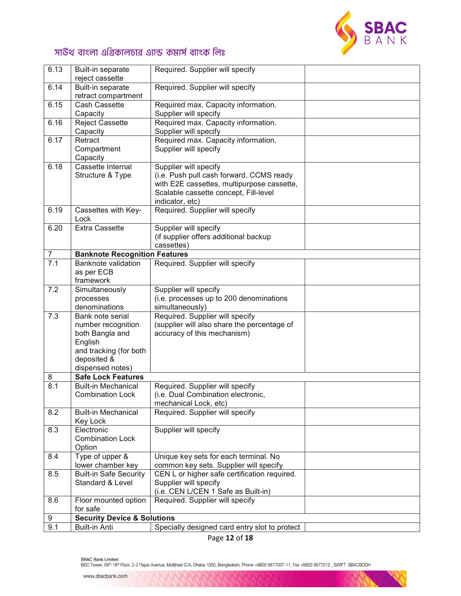

| 6.13           | Built-in separate<br>reject cassette                                                                                              | Required. Supplier will specify                                                                                                                                             |  |
|----------------|-----------------------------------------------------------------------------------------------------------------------------------|-----------------------------------------------------------------------------------------------------------------------------------------------------------------------------|--|
| 6.14           | Built-in separate<br>retract compartment                                                                                          | Required. Supplier will specify                                                                                                                                             |  |
| 6.15           | Cash Cassette<br>Capacity                                                                                                         | Required max. Capacity information.<br>Supplier will specify                                                                                                                |  |
| 6.16           | <b>Reject Cassette</b><br>Capacity                                                                                                | Required max. Capacity information.<br>Supplier will specify                                                                                                                |  |
| 6.17           | Retract<br>Compartment<br>Capacity                                                                                                | Required max. Capacity information.<br>Supplier will specify                                                                                                                |  |
| 6.18           | Cassette Internal<br>Structure & Type                                                                                             | Supplier will specify<br>(i.e. Push pull cash forward, CCMS ready<br>with E2E cassettes, multipurpose cassette,<br>Scalable cassette concept, Fill-level<br>indicator, etc) |  |
| 6.19           | Cassettes with Key-<br>Lock                                                                                                       | Required. Supplier will specify                                                                                                                                             |  |
| 6.20           | <b>Extra Cassette</b>                                                                                                             | Supplier will specify<br>(if supplier offers additional backup<br>cassettes)                                                                                                |  |
| $\overline{7}$ | <b>Banknote Recognition Features</b>                                                                                              |                                                                                                                                                                             |  |
| 7.1            | <b>Banknote validation</b><br>as per ECB<br>framework                                                                             | Required. Supplier will specify                                                                                                                                             |  |
| 7.2            | Simultaneously<br>processes<br>denominations                                                                                      | Supplier will specify<br>(i.e. processes up to 200 denominations<br>simultaneously)                                                                                         |  |
| 7.3            | Bank note serial<br>number recognition<br>both Bangla and<br>English<br>and tracking (for both<br>deposited &<br>dispensed notes) | Required. Supplier will specify<br>(supplier will also share the percentage of<br>accuracy of this mechanism)                                                               |  |
| 8              | <b>Safe Lock Features</b>                                                                                                         |                                                                                                                                                                             |  |
| 8.1            | <b>Built-in Mechanical</b><br><b>Combination Lock</b>                                                                             | Required. Supplier will specify<br>(i.e. Dual Combination electronic,<br>mechanical Lock, etc)                                                                              |  |
| 8.2            | <b>Built-in Mechanical</b><br>Key Lock                                                                                            | Required. Supplier will specify                                                                                                                                             |  |
| 8.3            | Electronic<br><b>Combination Lock</b><br>Option                                                                                   | Supplier will specify                                                                                                                                                       |  |
| 8.4            | Type of upper &<br>lower chamber key                                                                                              | Unique key sets for each terminal. No<br>common key sets. Supplier will specify                                                                                             |  |
| 8.5            | <b>Built-in Safe Security</b><br>Standard & Level                                                                                 | CEN L or higher safe certification required.<br>Supplier will specify<br>(i.e. CEN L/CEN 1 Safe as Built-in)                                                                |  |
| 8.6            | Floor mounted option<br>for safe                                                                                                  | Required. Supplier will specify                                                                                                                                             |  |
| 9              | <b>Security Device &amp; Solutions</b>                                                                                            |                                                                                                                                                                             |  |
| 9.1            | <b>Built-in Anti</b>                                                                                                              | Specially designed card entry slot to protect                                                                                                                               |  |

Page 12 of 18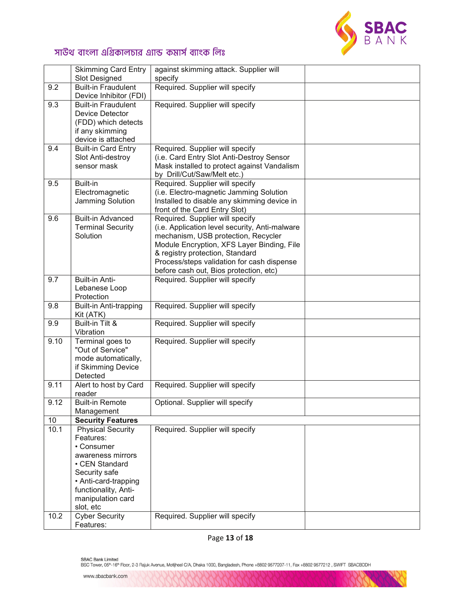

|      | <b>Skimming Card Entry</b><br>Slot Designed                                                                                                                                                   | against skimming attack. Supplier will<br>specify                                                                                                                                                                                                                                                 |  |
|------|-----------------------------------------------------------------------------------------------------------------------------------------------------------------------------------------------|---------------------------------------------------------------------------------------------------------------------------------------------------------------------------------------------------------------------------------------------------------------------------------------------------|--|
| 9.2  | <b>Built-in Fraudulent</b><br>Device Inhibitor (FDI)                                                                                                                                          | Required. Supplier will specify                                                                                                                                                                                                                                                                   |  |
| 9.3  | <b>Built-in Fraudulent</b><br>Device Detector<br>(FDD) which detects<br>if any skimming<br>device is attached                                                                                 | Required. Supplier will specify                                                                                                                                                                                                                                                                   |  |
| 9.4  | <b>Built-in Card Entry</b><br>Slot Anti-destroy<br>sensor mask                                                                                                                                | Required. Supplier will specify<br>(i.e. Card Entry Slot Anti-Destroy Sensor<br>Mask installed to protect against Vandalism<br>by Drill/Cut/Saw/Melt etc.)                                                                                                                                        |  |
| 9.5  | Built-in<br>Electromagnetic<br>Jamming Solution                                                                                                                                               | Required. Supplier will specify<br>(i.e. Electro-magnetic Jamming Solution<br>Installed to disable any skimming device in<br>front of the Card Entry Slot)                                                                                                                                        |  |
| 9.6  | <b>Built-in Advanced</b><br><b>Terminal Security</b><br>Solution                                                                                                                              | Required. Supplier will specify<br>(i.e. Application level security, Anti-malware<br>mechanism, USB protection, Recycler<br>Module Encryption, XFS Layer Binding, File<br>& registry protection, Standard<br>Process/steps validation for cash dispense<br>before cash out, Bios protection, etc) |  |
| 9.7  | <b>Built-in Anti-</b><br>Lebanese Loop<br>Protection                                                                                                                                          | Required. Supplier will specify                                                                                                                                                                                                                                                                   |  |
| 9.8  | <b>Built-in Anti-trapping</b><br>Kit (ATK)                                                                                                                                                    | Required. Supplier will specify                                                                                                                                                                                                                                                                   |  |
| 9.9  | Built-in Tilt &<br>Vibration                                                                                                                                                                  | Required. Supplier will specify                                                                                                                                                                                                                                                                   |  |
| 9.10 | Terminal goes to<br>"Out of Service"<br>mode automatically,<br>if Skimming Device<br>Detected                                                                                                 | Required. Supplier will specify                                                                                                                                                                                                                                                                   |  |
| 9.11 | Alert to host by Card<br>reader                                                                                                                                                               | Required. Supplier will specify                                                                                                                                                                                                                                                                   |  |
| 9.12 | <b>Built-in Remote</b><br>Management                                                                                                                                                          | Optional. Supplier will specify                                                                                                                                                                                                                                                                   |  |
| 10   | <b>Security Features</b>                                                                                                                                                                      |                                                                                                                                                                                                                                                                                                   |  |
| 10.1 | <b>Physical Security</b><br>Features:<br>• Consumer<br>awareness mirrors<br>• CEN Standard<br>Security safe<br>• Anti-card-trapping<br>functionality, Anti-<br>manipulation card<br>slot, etc | Required. Supplier will specify                                                                                                                                                                                                                                                                   |  |
| 10.2 | <b>Cyber Security</b><br>Features:                                                                                                                                                            | Required. Supplier will specify                                                                                                                                                                                                                                                                   |  |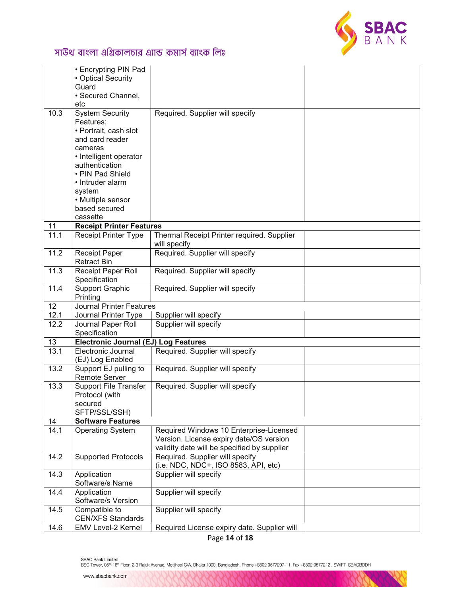

|      | • Encrypting PIN Pad                 |                                             |  |
|------|--------------------------------------|---------------------------------------------|--|
|      | • Optical Security                   |                                             |  |
|      | Guard                                |                                             |  |
|      | • Secured Channel,                   |                                             |  |
|      | etc                                  |                                             |  |
| 10.3 | <b>System Security</b>               | Required. Supplier will specify             |  |
|      | Features:                            |                                             |  |
|      | • Portrait, cash slot                |                                             |  |
|      | and card reader                      |                                             |  |
|      | cameras                              |                                             |  |
|      | • Intelligent operator               |                                             |  |
|      | authentication                       |                                             |  |
|      | • PIN Pad Shield                     |                                             |  |
|      | • Intruder alarm                     |                                             |  |
|      | system                               |                                             |  |
|      | • Multiple sensor                    |                                             |  |
|      | based secured                        |                                             |  |
|      | cassette                             |                                             |  |
| 11   | <b>Receipt Printer Features</b>      |                                             |  |
| 11.1 | Receipt Printer Type                 | Thermal Receipt Printer required. Supplier  |  |
|      |                                      | will specify                                |  |
| 11.2 | <b>Receipt Paper</b>                 | Required. Supplier will specify             |  |
|      | <b>Retract Bin</b>                   |                                             |  |
| 11.3 | Receipt Paper Roll                   | Required. Supplier will specify             |  |
|      | Specification                        |                                             |  |
| 11.4 | <b>Support Graphic</b>               | Required. Supplier will specify             |  |
|      | Printing                             |                                             |  |
| 12   | <b>Journal Printer Features</b>      |                                             |  |
| 12.1 | Journal Printer Type                 | Supplier will specify                       |  |
| 12.2 | Journal Paper Roll                   | Supplier will specify                       |  |
|      | Specification                        |                                             |  |
| 13   | Electronic Journal (EJ) Log Features |                                             |  |
| 13.1 | Electronic Journal                   | Required. Supplier will specify             |  |
|      | (EJ) Log Enabled                     |                                             |  |
| 13.2 | Support EJ pulling to                | Required. Supplier will specify             |  |
|      | <b>Remote Server</b>                 |                                             |  |
| 13.3 | <b>Support File Transfer</b>         | Required. Supplier will specify             |  |
|      | Protocol (with                       |                                             |  |
|      | secured                              |                                             |  |
|      | SFTP/SSL/SSH)                        |                                             |  |
| 14   | <b>Software Features</b>             |                                             |  |
| 14.1 | <b>Operating System</b>              | Required Windows 10 Enterprise-Licensed     |  |
|      |                                      | Version. License expiry date/OS version     |  |
|      |                                      | validity date will be specified by supplier |  |
| 14.2 | <b>Supported Protocols</b>           | Required. Supplier will specify             |  |
|      |                                      | (i.e. NDC, NDC+, ISO 8583, API, etc)        |  |
| 14.3 | Application                          | Supplier will specify                       |  |
|      | Software/s Name                      |                                             |  |
| 14.4 | Application                          | Supplier will specify                       |  |
|      | Software/s Version                   |                                             |  |
| 14.5 | Compatible to                        | Supplier will specify                       |  |
|      | <b>CEN/XFS Standards</b>             |                                             |  |
| 14.6 | EMV Level-2 Kernel                   | Required License expiry date. Supplier will |  |
|      |                                      |                                             |  |

Page 14 of 18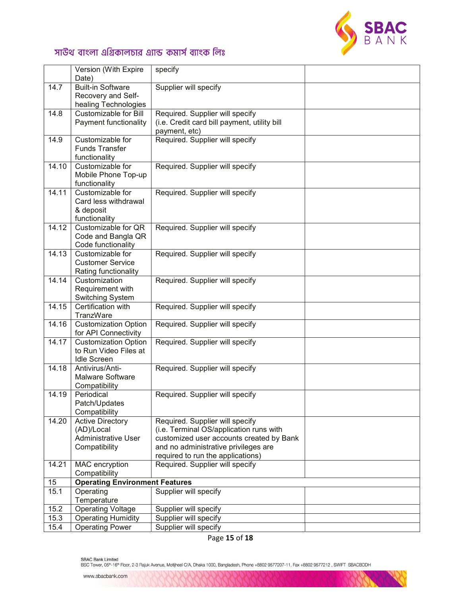

|       | Version (With Expire                                                                 | specify                                                                                                                                                                                             |  |
|-------|--------------------------------------------------------------------------------------|-----------------------------------------------------------------------------------------------------------------------------------------------------------------------------------------------------|--|
|       | Date)                                                                                |                                                                                                                                                                                                     |  |
| 14.7  | <b>Built-in Software</b><br>Recovery and Self-<br>healing Technologies               | Supplier will specify                                                                                                                                                                               |  |
| 14.8  | Customizable for Bill<br>Payment functionality                                       | Required. Supplier will specify<br>(i.e. Credit card bill payment, utility bill<br>payment, etc)                                                                                                    |  |
| 14.9  | Customizable for<br><b>Funds Transfer</b><br>functionality                           | Required. Supplier will specify                                                                                                                                                                     |  |
| 14.10 | Customizable for<br>Mobile Phone Top-up<br>functionality                             | Required. Supplier will specify                                                                                                                                                                     |  |
| 14.11 | Customizable for<br>Card less withdrawal<br>& deposit<br>functionality               | Required. Supplier will specify                                                                                                                                                                     |  |
| 14.12 | Customizable for QR<br>Code and Bangla QR<br>Code functionality                      | Required. Supplier will specify                                                                                                                                                                     |  |
| 14.13 | Customizable for<br><b>Customer Service</b><br>Rating functionality                  | Required. Supplier will specify                                                                                                                                                                     |  |
| 14.14 | Customization<br>Requirement with<br><b>Switching System</b>                         | Required. Supplier will specify                                                                                                                                                                     |  |
| 14.15 | Certification with<br>TranzWare                                                      | Required. Supplier will specify                                                                                                                                                                     |  |
| 14.16 | <b>Customization Option</b><br>for API Connectivity                                  | Required. Supplier will specify                                                                                                                                                                     |  |
| 14.17 | <b>Customization Option</b><br>to Run Video Files at<br><b>Idle Screen</b>           | Required. Supplier will specify                                                                                                                                                                     |  |
| 14.18 | Antivirus/Anti-<br><b>Malware Software</b><br>Compatibility                          | Required. Supplier will specify                                                                                                                                                                     |  |
| 14.19 | Periodical<br>Patch/Updates<br>Compatibility                                         | Required. Supplier will specify                                                                                                                                                                     |  |
| 14.20 | <b>Active Directory</b><br>(AD)/Local<br><b>Administrative User</b><br>Compatibility | Required. Supplier will specify<br>(i.e. Terminal OS/application runs with<br>customized user accounts created by Bank<br>and no administrative privileges are<br>required to run the applications) |  |
| 14.21 | MAC encryption<br>Compatibility                                                      | Required. Supplier will specify                                                                                                                                                                     |  |
| 15    | <b>Operating Environment Features</b>                                                |                                                                                                                                                                                                     |  |
| 15.1  | Operating<br>Temperature                                                             | Supplier will specify                                                                                                                                                                               |  |
| 15.2  | <b>Operating Voltage</b>                                                             | Supplier will specify                                                                                                                                                                               |  |
| 15.3  | <b>Operating Humidity</b>                                                            | Supplier will specify                                                                                                                                                                               |  |
| 15.4  | <b>Operating Power</b>                                                               | Supplier will specify                                                                                                                                                                               |  |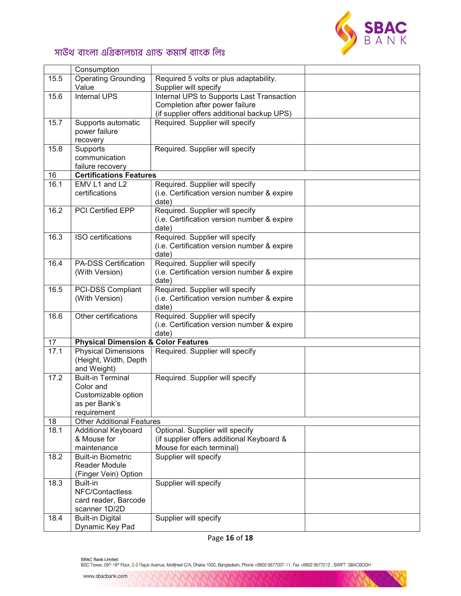

|      | Consumption                                    |                                             |  |
|------|------------------------------------------------|---------------------------------------------|--|
| 15.5 | <b>Operating Grounding</b>                     | Required 5 volts or plus adaptability.      |  |
|      | Value                                          | Supplier will specify                       |  |
| 15.6 | Internal UPS                                   | Internal UPS to Supports Last Transaction   |  |
|      |                                                | Completion after power failure              |  |
|      |                                                | (if supplier offers additional backup UPS)  |  |
| 15.7 | Supports automatic                             | Required. Supplier will specify             |  |
|      | power failure                                  |                                             |  |
|      | recovery                                       |                                             |  |
| 15.8 | Supports                                       | Required. Supplier will specify             |  |
|      | communication                                  |                                             |  |
|      | failure recovery                               |                                             |  |
| 16   | <b>Certifications Features</b>                 |                                             |  |
| 16.1 | EMV L1 and L2                                  | Required. Supplier will specify             |  |
|      | certifications                                 | (i.e. Certification version number & expire |  |
|      |                                                | date)                                       |  |
| 16.2 | PCI Certified EPP                              | Required. Supplier will specify             |  |
|      |                                                | (i.e. Certification version number & expire |  |
|      |                                                | date)                                       |  |
| 16.3 | ISO certifications                             | Required. Supplier will specify             |  |
|      |                                                | (i.e. Certification version number & expire |  |
|      |                                                | date)                                       |  |
| 16.4 | <b>PA-DSS Certification</b>                    | Required. Supplier will specify             |  |
|      | (With Version)                                 | (i.e. Certification version number & expire |  |
|      |                                                | date)                                       |  |
| 16.5 | PCI-DSS Compliant                              | Required. Supplier will specify             |  |
|      | (With Version)                                 | (i.e. Certification version number & expire |  |
| 16.6 | Other certifications                           | date)<br>Required. Supplier will specify    |  |
|      |                                                | (i.e. Certification version number & expire |  |
|      |                                                | date)                                       |  |
| 17   | <b>Physical Dimension &amp; Color Features</b> |                                             |  |
| 17.1 | <b>Physical Dimensions</b>                     | Required. Supplier will specify             |  |
|      | (Height, Width, Depth                          |                                             |  |
|      | and Weight)                                    |                                             |  |
| 17.2 | <b>Built-in Terminal</b>                       | Required. Supplier will specify             |  |
|      | Color and                                      |                                             |  |
|      | Customizable option                            |                                             |  |
|      | as per Bank's                                  |                                             |  |
|      | requirement                                    |                                             |  |
| 18   | <b>Other Additional Features</b>               |                                             |  |
| 18.1 | <b>Additional Keyboard</b>                     | Optional. Supplier will specify             |  |
|      | & Mouse for                                    | (if supplier offers additional Keyboard &   |  |
|      | maintenance                                    | Mouse for each terminal)                    |  |
| 18.2 | <b>Built-in Biometric</b>                      | Supplier will specify                       |  |
|      | Reader Module                                  |                                             |  |
|      | (Finger Vein) Option                           |                                             |  |
| 18.3 | Built-in                                       | Supplier will specify                       |  |
|      | NFC/Contactless                                |                                             |  |
|      | card reader, Barcode                           |                                             |  |
|      | scanner 1D/2D                                  |                                             |  |
| 18.4 | <b>Built-in Digital</b>                        | Supplier will specify                       |  |
|      | Dynamic Key Pad                                |                                             |  |

Page 16 of 18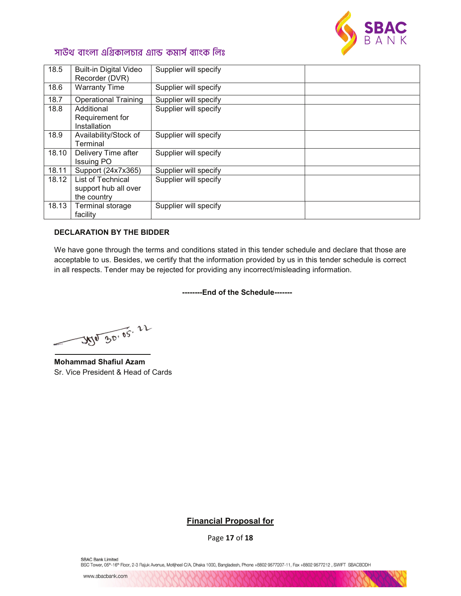

| 18.5  | <b>Built-in Digital Video</b><br>Recorder (DVR)          | Supplier will specify |  |
|-------|----------------------------------------------------------|-----------------------|--|
| 18.6  | <b>Warranty Time</b>                                     | Supplier will specify |  |
| 18.7  | <b>Operational Training</b>                              | Supplier will specify |  |
| 18.8  | Additional<br>Requirement for<br>Installation            | Supplier will specify |  |
| 18.9  | Availability/Stock of<br>Terminal                        | Supplier will specify |  |
| 18.10 | Delivery Time after<br><b>Issuing PO</b>                 | Supplier will specify |  |
| 18.11 | Support (24x7x365)                                       | Supplier will specify |  |
| 18.12 | List of Technical<br>support hub all over<br>the country | Supplier will specify |  |
| 18.13 | Terminal storage<br>facility                             | Supplier will specify |  |

### DECLARATION BY THE BIDDER

We have gone through the terms and conditions stated in this tender schedule and declare that those are acceptable to us. Besides, we certify that the information provided by us in this tender schedule is correct in all respects. Tender may be rejected for providing any incorrect/misleading information.

--------End of the Schedule-------

350 30.05.22

Mohammad Shafiul Azam Sr. Vice President & Head of Cards

### Financial Proposal for

Page 17 of 18